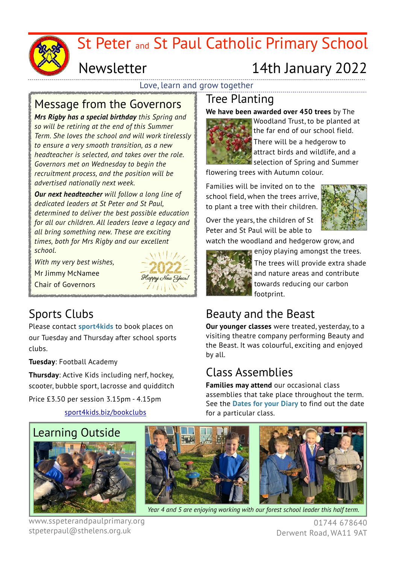

# St Peter and St Paul Catholic Primary School

## Newsletter

# 14th January 2022

Love, learn and grow together

#### Message from the Governors

*Mrs Rigby has a special birthday this Spring and so will be retiring at the end of this Summer Term. She loves the school and will work tirelessly to ensure a very smooth transition, as a new headteacher is selected, and takes over the role. Governors met on Wednesday to begin the recruitment process, and the position will be advertised nationally next week.*

*Our next headteacher will follow a long line of dedicated leaders at St Peter and St Paul, determined to deliver the best possible education for all our children. All leaders leave a legacy and all bring something new. These are exciting times, both for Mrs Rigby and our excellent school.*

*With my very best wishes,* 

Mr Jimmy McNamee

Chair of Governors



#### Sports Clubs

Please contact **sport4kids** to book places on our Tuesday and Thursday after school sports clubs.

**Tuesday**: Football Academy

**Thursday**: Active Kids including nerf, hockey, scooter, bubble sport, lacrosse and quidditch

Price £3.50 per session 3.15pm - 4.15pm

[sport4kids.biz/bookclubs](http://sport4kids.biz/bookclubs)

# Tree Planting

**We have been awarded over 450 trees** by The



Woodland Trust, to be planted at the far end of our school field. There will be a hedgerow to attract birds and wildlife, and a selection of Spring and Summer

flowering trees with Autumn colour.

Families will be invited on to the school field, when the trees arrive, to plant a tree with their children.

Over the years, the children of St Peter and St Paul will be able to



watch the woodland and hedgerow grow, and enjoy playing amongst the trees.



The trees will provide extra shade and nature areas and contribute towards reducing our carbon footprint.

### Beauty and the Beast

**Our younger classes** were treated, yesterday, to a visiting theatre company performing Beauty and the Beast. It was colourful, exciting and enjoyed by all.

### Class Assemblies

**Families may attend** our occasional class assemblies that take place throughout the term. See the **Dates for your Diary** to find out the date for a particular class.



www.sspeterandpaulprimary.org stpeterpaul@sthelens.org.uk



*Year 4 and 5 are enjoying working with our forest school leader this half term.*

01744 678640 Derwent Road, WA11 9AT